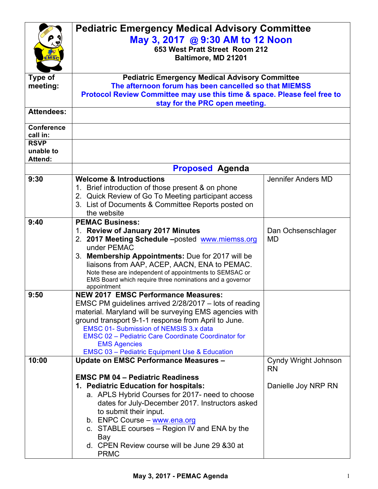|                   | <b>Pediatric Emergency Medical Advisory Committee</b>                                                    |                      |  |
|-------------------|----------------------------------------------------------------------------------------------------------|----------------------|--|
|                   | May 3, 2017 @ 9:30 AM to 12 Noon                                                                         |                      |  |
|                   | 653 West Pratt Street Room 212                                                                           |                      |  |
| <b>MS</b>         | Baltimore, MD 21201                                                                                      |                      |  |
|                   |                                                                                                          |                      |  |
| <b>Type of</b>    | <b>Pediatric Emergency Medical Advisory Committee</b>                                                    |                      |  |
| meeting:          | The afternoon forum has been cancelled so that MIEMSS                                                    |                      |  |
|                   | Protocol Review Committee may use this time & space. Please feel free to                                 |                      |  |
|                   | stay for the PRC open meeting.                                                                           |                      |  |
| <b>Attendees:</b> |                                                                                                          |                      |  |
| <b>Conference</b> |                                                                                                          |                      |  |
| call in:          |                                                                                                          |                      |  |
| <b>RSVP</b>       |                                                                                                          |                      |  |
| unable to         |                                                                                                          |                      |  |
| <b>Attend:</b>    |                                                                                                          |                      |  |
|                   | <b>Proposed Agenda</b>                                                                                   |                      |  |
| 9:30              | <b>Welcome &amp; Introductions</b>                                                                       | Jennifer Anders MD   |  |
|                   | 1. Brief introduction of those present & on phone<br>2. Quick Review of Go To Meeting participant access |                      |  |
|                   | 3. List of Documents & Committee Reports posted on                                                       |                      |  |
|                   | the website                                                                                              |                      |  |
| 9:40              | <b>PEMAC Business:</b>                                                                                   |                      |  |
|                   | 1. Review of January 2017 Minutes                                                                        | Dan Ochsenschlager   |  |
|                   | 2. 2017 Meeting Schedule -posted www.miemss.org                                                          | <b>MD</b>            |  |
|                   | under PEMAC                                                                                              |                      |  |
|                   | 3. Membership Appointments: Due for 2017 will be                                                         |                      |  |
|                   | liaisons from AAP, ACEP, AACN, ENA to PEMAC.                                                             |                      |  |
|                   | Note these are independent of appointments to SEMSAC or                                                  |                      |  |
|                   | EMS Board which require three nominations and a governor<br>appointment                                  |                      |  |
| 9:50              | <b>NEW 2017 EMSC Performance Measures:</b>                                                               |                      |  |
|                   | EMSC PM guidelines arrived 2/28/2017 - lots of reading                                                   |                      |  |
|                   | material. Maryland will be surveying EMS agencies with                                                   |                      |  |
|                   | ground transport 9-1-1 response from April to June.                                                      |                      |  |
|                   | <b>EMSC 01- Submission of NEMSIS 3.x data</b>                                                            |                      |  |
|                   | <b>EMSC 02 - Pediatric Care Coordinate Coordinator for</b><br><b>EMS Agencies</b>                        |                      |  |
|                   | <b>EMSC 03 - Pediatric Equipment Use &amp; Education</b>                                                 |                      |  |
| 10:00             | <b>Update on EMSC Performance Measures -</b>                                                             | Cyndy Wright Johnson |  |
|                   |                                                                                                          | <b>RN</b>            |  |
|                   | <b>EMSC PM 04 - Pediatric Readiness</b>                                                                  |                      |  |
|                   | 1. Pediatric Education for hospitals:                                                                    | Danielle Joy NRP RN  |  |
|                   | a. APLS Hybrid Courses for 2017- need to choose                                                          |                      |  |
|                   | dates for July-December 2017. Instructors asked                                                          |                      |  |
|                   | to submit their input.                                                                                   |                      |  |
|                   | b. ENPC Course - www.ena.org                                                                             |                      |  |
|                   | c. STABLE courses - Region IV and ENA by the                                                             |                      |  |
|                   | Bay<br>d. CPEN Review course will be June 29 & 30 at                                                     |                      |  |
|                   | <b>PRMC</b>                                                                                              |                      |  |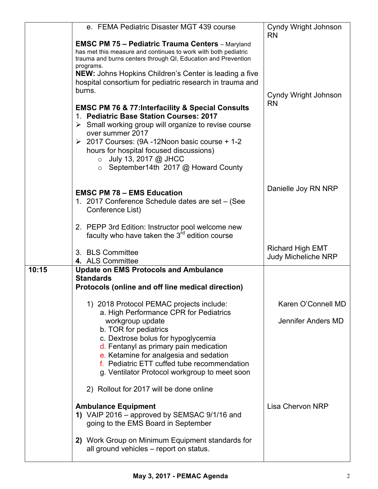|       | e. FEMA Pediatric Disaster MGT 439 course                                                                                                                                                                                                                                                                                                    | <b>Cyndy Wright Johnson</b><br><b>RN</b>              |
|-------|----------------------------------------------------------------------------------------------------------------------------------------------------------------------------------------------------------------------------------------------------------------------------------------------------------------------------------------------|-------------------------------------------------------|
|       | <b>EMSC PM 75 - Pediatric Trauma Centers</b> - Maryland<br>has met this measure and continues to work with both pediatric<br>trauma and burns centers through QI, Education and Prevention                                                                                                                                                   |                                                       |
|       | programs.<br>NEW: Johns Hopkins Children's Center is leading a five<br>hospital consortium for pediatric research in trauma and                                                                                                                                                                                                              |                                                       |
|       | burns.                                                                                                                                                                                                                                                                                                                                       | Cyndy Wright Johnson                                  |
|       | <b>EMSC PM 76 &amp; 77: Interfacility &amp; Special Consults</b><br>1. Pediatric Base Station Courses: 2017<br>$\triangleright$ Small working group will organize to revise course<br>over summer 2017<br>$\geq$ 2017 Courses: (9A -12Noon basic course + 1-2)<br>hours for hospital focused discussions)<br>July 13, 2017 @ JHCC<br>$\circ$ | <b>RN</b>                                             |
|       | September14th 2017 @ Howard County<br>$\circ$                                                                                                                                                                                                                                                                                                |                                                       |
|       | <b>EMSC PM 78 - EMS Education</b><br>1. 2017 Conference Schedule dates are set - (See<br>Conference List)                                                                                                                                                                                                                                    | Danielle Joy RN NRP                                   |
|       | 2. PEPP 3rd Edition: Instructor pool welcome new<br>faculty who have taken the $3rd$ edition course                                                                                                                                                                                                                                          |                                                       |
|       |                                                                                                                                                                                                                                                                                                                                              |                                                       |
|       | 3. BLS Committee<br>4. ALS Committee                                                                                                                                                                                                                                                                                                         | <b>Richard High EMT</b><br><b>Judy Micheliche NRP</b> |
| 10:15 | <b>Update on EMS Protocols and Ambulance</b><br><b>Standards</b>                                                                                                                                                                                                                                                                             |                                                       |
|       | Protocols (online and off line medical direction)                                                                                                                                                                                                                                                                                            |                                                       |
|       | 1) 2018 Protocol PEMAC projects include:                                                                                                                                                                                                                                                                                                     | Karen O'Connell MD                                    |
|       | a. High Performance CPR for Pediatrics<br>workgroup update<br>b. TOR for pediatrics                                                                                                                                                                                                                                                          | Jennifer Anders MD                                    |
|       | c. Dextrose bolus for hypoglycemia<br>d. Fentanyl as primary pain medication<br>e. Ketamine for analgesia and sedation<br>f. Pediatric ETT cuffed tube recommendation<br>g. Ventilator Protocol workgroup to meet soon                                                                                                                       |                                                       |
|       | 2) Rollout for 2017 will be done online                                                                                                                                                                                                                                                                                                      |                                                       |
|       | <b>Ambulance Equipment</b><br>1) VAIP 2016 – approved by SEMSAC 9/1/16 and<br>going to the EMS Board in September                                                                                                                                                                                                                            | <b>Lisa Chervon NRP</b>                               |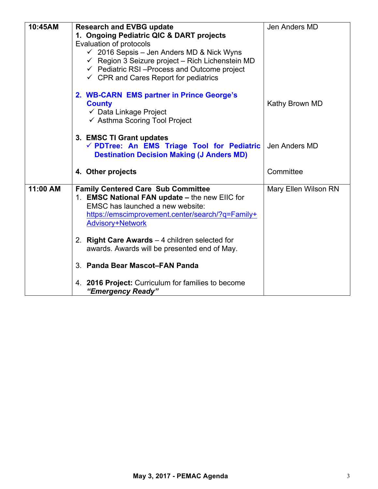| 10:45AM  | <b>Research and EVBG update</b>                             | Jen Anders MD        |
|----------|-------------------------------------------------------------|----------------------|
|          | 1. Ongoing Pediatric QIC & DART projects                    |                      |
|          | Evaluation of protocols                                     |                      |
|          | $\checkmark$ 2016 Sepsis - Jen Anders MD & Nick Wyns        |                      |
|          | $\checkmark$ Region 3 Seizure project - Rich Lichenstein MD |                      |
|          | $\checkmark$ Pediatric RSI-Process and Outcome project      |                      |
|          | $\checkmark$ CPR and Cares Report for pediatrics            |                      |
|          |                                                             |                      |
|          | 2. WB-CARN EMS partner in Prince George's                   |                      |
|          | <b>County</b>                                               | Kathy Brown MD       |
|          | ✓ Data Linkage Project                                      |                      |
|          | $\checkmark$ Asthma Scoring Tool Project                    |                      |
|          |                                                             |                      |
|          | 3. EMSC TI Grant updates                                    |                      |
|          | √ PDTree: An EMS Triage Tool for Pediatric                  | Jen Anders MD        |
|          | <b>Destination Decision Making (J Anders MD)</b>            |                      |
|          |                                                             |                      |
|          | 4. Other projects                                           | Committee            |
|          |                                                             |                      |
| 11:00 AM | <b>Family Centered Care Sub Committee</b>                   | Mary Ellen Wilson RN |
|          | 1. EMSC National FAN update - the new EIIC for              |                      |
|          | EMSC has launched a new website:                            |                      |
|          | https://emscimprovement.center/search/?q=Family+            |                      |
|          | <b>Advisory+Network</b>                                     |                      |
|          |                                                             |                      |
|          | 2. Right Care Awards $-4$ children selected for             |                      |
|          | awards. Awards will be presented end of May.                |                      |
|          |                                                             |                      |
|          | 3. Panda Bear Mascot-FAN Panda                              |                      |
|          |                                                             |                      |
|          | 4. 2016 Project: Curriculum for families to become          |                      |
|          | "Emergency Ready"                                           |                      |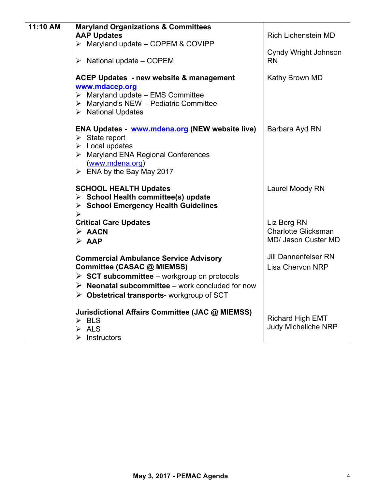| 11:10 AM | <b>Maryland Organizations &amp; Committees</b>                                                                                                                                                                                                                          |                                                                  |
|----------|-------------------------------------------------------------------------------------------------------------------------------------------------------------------------------------------------------------------------------------------------------------------------|------------------------------------------------------------------|
|          | <b>AAP Updates</b>                                                                                                                                                                                                                                                      | <b>Rich Lichenstein MD</b>                                       |
|          | $\triangleright$ Maryland update - COPEM & COVIPP                                                                                                                                                                                                                       |                                                                  |
|          | $\triangleright$ National update – COPEM                                                                                                                                                                                                                                | Cyndy Wright Johnson<br><b>RN</b>                                |
|          | ACEP Updates - new website & management<br>www.mdacep.org<br>$\triangleright$ Maryland update – EMS Committee<br>> Maryland's NEW - Pediatric Committee<br>> National Updates                                                                                           | Kathy Brown MD                                                   |
|          | <b>ENA Updates - www.mdena.org (NEW website live)</b><br>$\triangleright$ State report<br>$\triangleright$ Local updates<br>> Maryland ENA Regional Conferences<br>(www.mdena.org)<br>$\triangleright$ ENA by the Bay May 2017                                          | Barbara Ayd RN                                                   |
|          | <b>SCHOOL HEALTH Updates</b><br>$\triangleright$ School Health committee(s) update<br>$\triangleright$ School Emergency Health Guidelines<br>$\blacktriangleright$                                                                                                      | Laurel Moody RN                                                  |
|          | <b>Critical Care Updates</b><br>$\triangleright$ AACN<br>$\triangleright$ AAP                                                                                                                                                                                           | Liz Berg RN<br><b>Charlotte Glicksman</b><br>MD/ Jason Custer MD |
|          | <b>Commercial Ambulance Service Advisory</b><br>Committee (CASAC @ MIEMSS)<br>$\triangleright$ SCT subcommittee – workgroup on protocols<br>$\triangleright$ Neonatal subcommittee – work concluded for now<br>$\triangleright$ Obstetrical transports-workgroup of SCT | <b>Jill Dannenfelser RN</b><br><b>Lisa Chervon NRP</b>           |
|          | Jurisdictional Affairs Committee (JAC @ MIEMSS)<br>$\triangleright$ BLS<br><b>ALS</b><br>$\blacktriangleright$<br>$\blacktriangleright$<br>Instructors                                                                                                                  | <b>Richard High EMT</b><br><b>Judy Micheliche NRP</b>            |